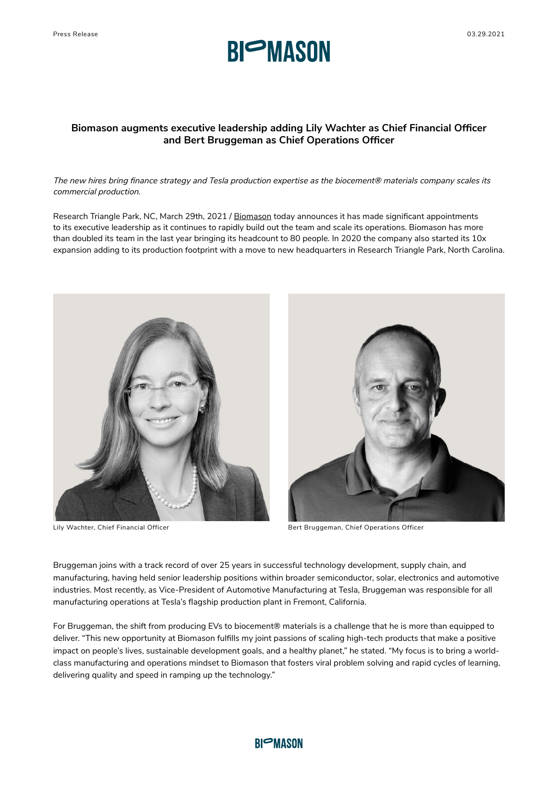

## **Biomason augments executive leadership adding Lily Wachter as Chief Financial Officer and Bert Bruggeman as Chief Operations Officer**

*The new hires bring finance strategy and Tesla production expertise as the biocement® materials company scales its commercial production.*

Research Triangle Park, NC, March 29th, 2021 / [Biomason](http://www.biomason.com) today announces it has made significant appointments to its executive leadership as it continues to rapidly build out the team and scale its operations. Biomason has more than doubled its team in the last year bringing its headcount to 80 people. In 2020 the company also started its 10x expansion adding to its production footprint with a move to new headquarters in Research Triangle Park, North Carolina.





Lily Wachter, Chief Financial Officer **Bert Bruggeman, Chief Operations Officer** Bruggeman, Chief Operations Officer

Bruggeman joins with a track record of over 25 years in successful technology development, supply chain, and manufacturing, having held senior leadership positions within broader semiconductor, solar, electronics and automotive industries. Most recently, as Vice-President of Automotive Manufacturing at Tesla, Bruggeman was responsible for all manufacturing operations at Tesla's flagship production plant in Fremont, California.

For Bruggeman, the shift from producing EVs to biocement® materials is a challenge that he is more than equipped to deliver. "This new opportunity at Biomason fulfills my joint passions of scaling high-tech products that make a positive impact on people's lives, sustainable development goals, and a healthy planet," he stated. "My focus is to bring a worldclass manufacturing and operations mindset to Biomason that fosters viral problem solving and rapid cycles of learning, delivering quality and speed in ramping up the technology."